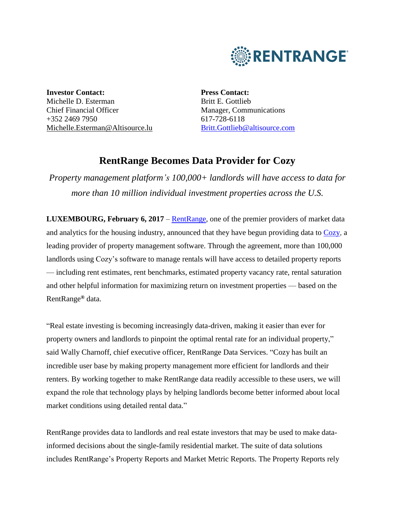

**Investor Contact:** Michelle D. Esterman Chief Financial Officer +352 2469 7950 [Michelle.Esterman@Altisource.lu](mailto:Michelle.Esterman@Altisource.lu) **Press Contact:** Britt E. Gottlieb Manager, Communications 617-728-6118 [Britt.Gottlieb@altisource.com](mailto:Nicole.Messier@altisource.com)

# **RentRange Becomes Data Provider for Cozy**

*Property management platform's 100,000+ landlords will have access to data for more than 10 million individual investment properties across the U.S.*

**LUXEMBOURG, February 6, 2017** – [RentRange,](https://www.rentrange.com/home/?utm_campaign=RRCozy&utm_source=PR&utm_medium=PR&utm_content=lead_link) one of the premier providers of market data and analytics for the housing industry, announced that they have begun providing data to [Cozy,](http://www.cozy.co/) a leading provider of property management software. Through the agreement, more than 100,000 landlords using Cozy's software to manage rentals will have access to detailed property reports — including rent estimates, rent benchmarks, estimated property vacancy rate, rental saturation and other helpful information for maximizing return on investment properties — based on the RentRange**®** data.

"Real estate investing is becoming increasingly data-driven, making it easier than ever for property owners and landlords to pinpoint the optimal rental rate for an individual property," said Wally Charnoff, chief executive officer, RentRange Data Services. "Cozy has built an incredible user base by making property management more efficient for landlords and their renters. By working together to make RentRange data readily accessible to these users, we will expand the role that technology plays by helping landlords become better informed about local market conditions using detailed rental data."

RentRange provides data to landlords and real estate investors that may be used to make datainformed decisions about the single-family residential market. The suite of data solutions includes RentRange's Property Reports and Market Metric Reports. The Property Reports rely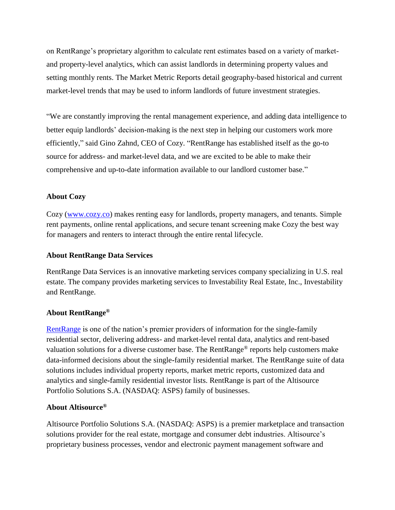on RentRange's proprietary algorithm to calculate rent estimates based on a variety of marketand property-level analytics, which can assist landlords in determining property values and setting monthly rents. The Market Metric Reports detail geography-based historical and current market-level trends that may be used to inform landlords of future investment strategies.

"We are constantly improving the rental management experience, and adding data intelligence to better equip landlords' decision-making is the next step in helping our customers work more efficiently," said Gino Zahnd, CEO of Cozy. "RentRange has established itself as the go-to source for address- and market-level data, and we are excited to be able to make their comprehensive and up-to-date information available to our landlord customer base."

# **About Cozy**

Cozy [\(www.cozy.co\)](http://www.cozy.co/) makes renting easy for landlords, property managers, and tenants. Simple rent payments, online rental applications, and secure tenant screening make Cozy the best way for managers and renters to interact through the entire rental lifecycle.

#### **About RentRange Data Services**

RentRange Data Services is an innovative marketing services company specializing in U.S. real estate. The company provides marketing services to Investability Real Estate, Inc., Investability and RentRange.

### **About RentRange®**

[RentRange](https://www.rentrange.com/home/?utm_campaign=RRCozy&utm_source=PR&utm_medium=PR&utm_content=boilerplate_link) is one of the nation's premier providers of information for the single**-**family residential sector, delivering address- and market-level rental data, analytics and rent-based valuation solutions for a diverse customer base. The RentRange® reports help customers make data**-**informed decisions about the single**-**family residential market. The RentRange suite of data solutions includes individual property reports, market metric reports, customized data and analytics and single**-**family residential investor lists. RentRange is part of the Altisource Portfolio Solutions S.A. (NASDAQ: ASPS) family of businesses.

## **About Altisource®**

Altisource Portfolio Solutions S.A. (NASDAQ: ASPS) is a premier marketplace and transaction solutions provider for the real estate, mortgage and consumer debt industries. Altisource's proprietary business processes, vendor and electronic payment management software and